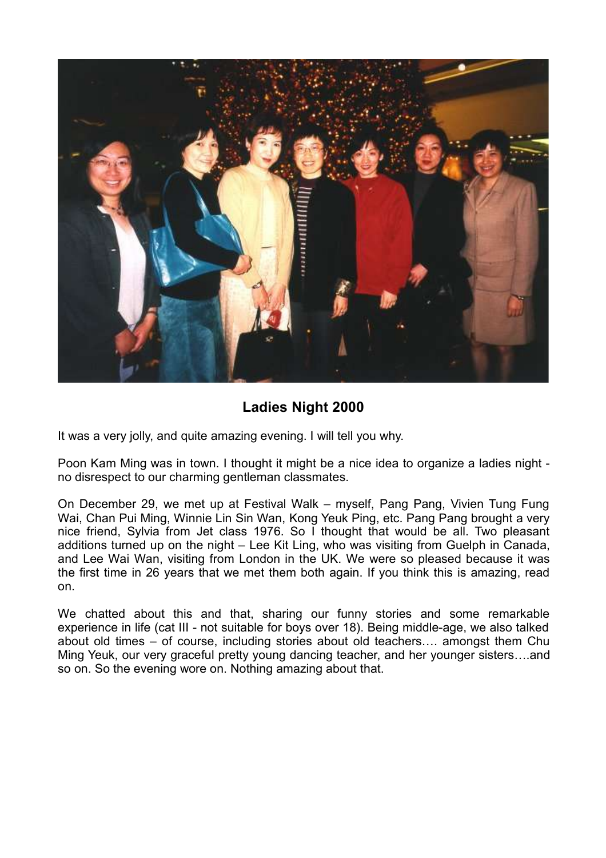

## **Ladies Night 2000**

It was a very jolly, and quite amazing evening. I will tell you why.

Poon Kam Ming was in town. I thought it might be a nice idea to organize a ladies night no disrespect to our charming gentleman classmates.

On December 29, we met up at Festival Walk – myself, Pang Pang, Vivien Tung Fung Wai, Chan Pui Ming, Winnie Lin Sin Wan, Kong Yeuk Ping, etc. Pang Pang brought a very nice friend, Sylvia from Jet class 1976. So I thought that would be all. Two pleasant additions turned up on the night – Lee Kit Ling, who was visiting from Guelph in Canada, and Lee Wai Wan, visiting from London in the UK. We were so pleased because it was the first time in 26 years that we met them both again. If you think this is amazing, read on.

We chatted about this and that, sharing our funny stories and some remarkable experience in life (cat III - not suitable for boys over 18). Being middle-age, we also talked about old times – of course, including stories about old teachers…. amongst them Chu Ming Yeuk, our very graceful pretty young dancing teacher, and her younger sisters….and so on. So the evening wore on. Nothing amazing about that.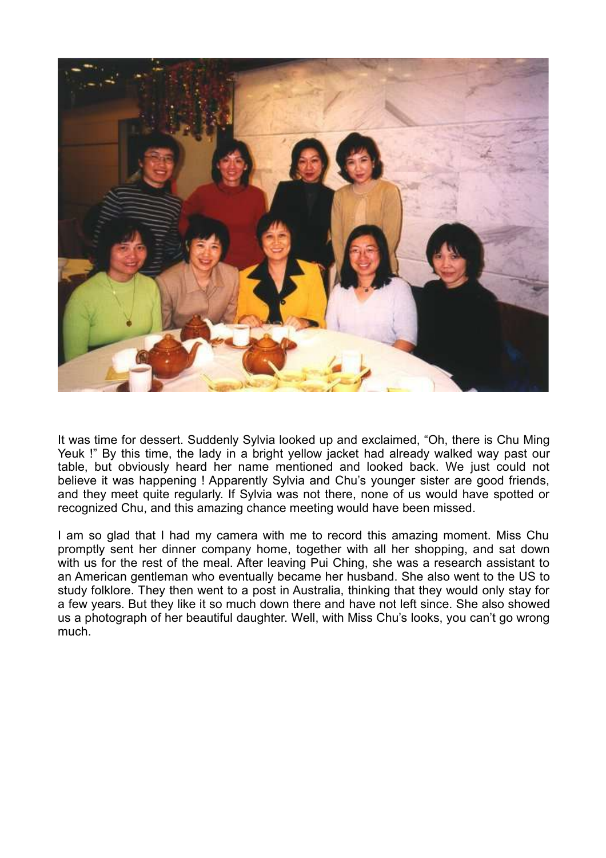

It was time for dessert. Suddenly Sylvia looked up and exclaimed, "Oh, there is Chu Ming Yeuk !" By this time, the lady in a bright yellow jacket had already walked way past our table, but obviously heard her name mentioned and looked back. We just could not believe it was happening ! Apparently Sylvia and Chu's younger sister are good friends, and they meet quite regularly. If Sylvia was not there, none of us would have spotted or recognized Chu, and this amazing chance meeting would have been missed.

I am so glad that I had my camera with me to record this amazing moment. Miss Chu promptly sent her dinner company home, together with all her shopping, and sat down with us for the rest of the meal. After leaving Pui Ching, she was a research assistant to an American gentleman who eventually became her husband. She also went to the US to study folklore. They then went to a post in Australia, thinking that they would only stay for a few years. But they like it so much down there and have not left since. She also showed us a photograph of her beautiful daughter. Well, with Miss Chu's looks, you can't go wrong much.